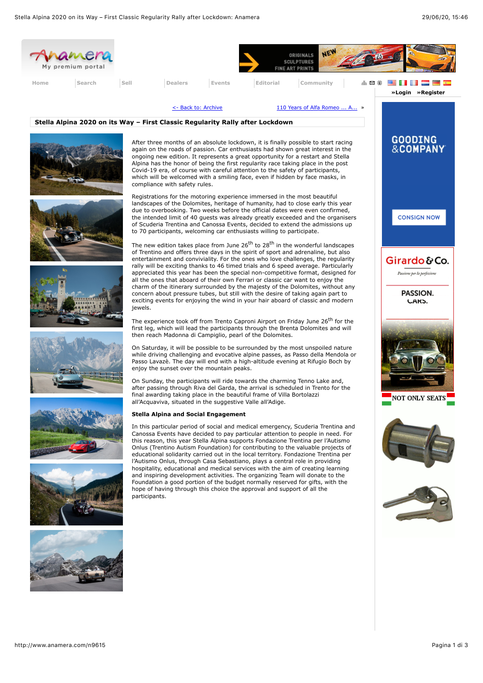